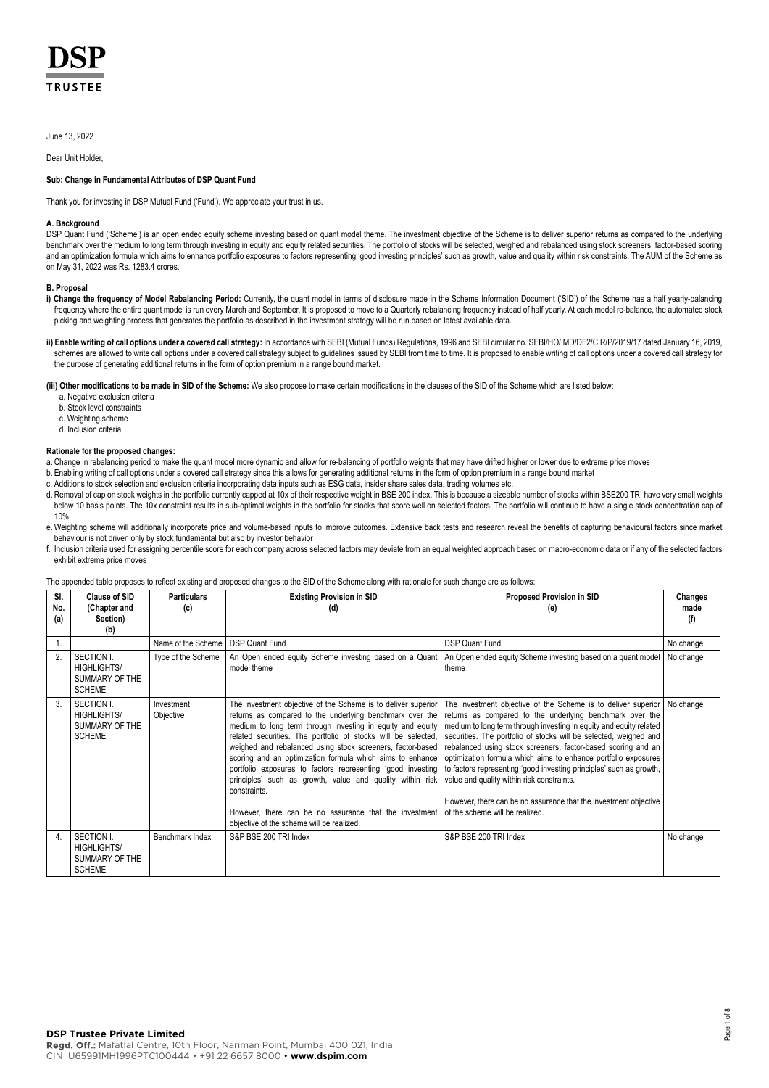# **TRUSTFF**

June 13, 2022

Dear Unit Holder,

### **Sub: Change in Fundamental Attributes of DSP Quant Fund**

Thank you for investing in DSP Mutual Fund ('Fund'). We appreciate your trust in us.

### **A. Background**

DSP Quant Fund ('Scheme') is an open ended equity scheme investing based on quant model theme. The investment objective of the Scheme is to deliver superior returns as compared to the underlying benchmark over the medium to long term through investing in equity and equity related securities. The portfolio of stocks will be selected, weighed and rebalanced using stock screeners, factor-based scoring and an optimization formula which aims to enhance portfolio exposures to factors representing 'good investing principles' such as growth, value and quality within risk constraints. The AUM of the Scheme as on May 31, 2022 was Rs. 1283.4 crores.

### **B. Proposal**

- i) Change the frequency of Model Rebalancing Period: Currently, the quant model in terms of disclosure made in the Scheme Information Document ('SID') of the Scheme has a half yearly-balancing frequency where the entire quant model is run every March and September. It is proposed to move to a Quarterly rebalancing frequency instead of half yearly. At each model re-balance, the automated stock picking and weighting process that generates the portfolio as described in the investment strategy will be run based on latest available data.
- **ii) Enable writing of call options under a covered call strategy:** In accordance with SEBI (Mutual Funds) Regulations, 1996 and SEBI circular no. SEBI/HO/IMD/DF2/CIR/P/2019/17 dated January 16, 2019, schemes are allowed to write call options under a covered call strategy subject to guidelines issued by SEBI from time to time. It is proposed to enable writing of call options under a covered call strategy for the purpose of generating additional returns in the form of option premium in a range bound market.

**(iii) Other modifications to be made in SID of the Scheme:** We also propose to make certain modifications in the clauses of the SID of the Scheme which are listed below:

- a. Negative exclusion criteria
- b. Stock level constraints
- c. Weighting scheme
- d. Inclusion criteria

## **Rationale for the proposed changes:**

- a. Change in rebalancing period to make the quant model more dynamic and allow for re-balancing of portfolio weights that may have drifted higher or lower due to extreme price moves
- b. Enabling writing of call options under a covered call strategy since this allows for generating additional returns in the form of option premium in a range bound market
- c. Additions to stock selection and exclusion criteria incorporating data inputs such as ESG data, insider share sales data, trading volumes etc.
- d. Removal of cap on stock weights in the portfolio currently capped at 10x of their respective weight in BSE 200 index. This is because a sizeable number of stocks within BSE200 TRI have very small weights below 10 basis points. The 10x constraint results in sub-optimal weights in the portfolio for stocks that score well on selected factors. The portfolio will continue to have a single stock concentration cap of 10%
- e. Weighting scheme will additionally incorporate price and volume-based inputs to improve outcomes. Extensive back tests and research reveal the benefits of capturing behavioural factors since market behaviour is not driven only by stock fundamental but also by investor behavior
- f. Inclusion criteria used for assigning percentile score for each company across selected factors may deviate from an equal weighted approach based on macro-economic data or if any of the selected factors exhibit extreme price moves

### The appended table proposes to reflect existing and proposed changes to the SID of the Scheme along with rationale for such change are as follows:

| SI.        | Clause of SID                                                       | <b>Particulars</b>      | <b>Existing Provision in SID</b>                                                                                                                                                                                                                                                                                                                                                                                                                                                                                                                                                                                                         | <b>Proposed Provision in SID</b>                                                                                                                                                                                                                                                                                                                                                                                                                                                                                                                                                                                                    | Changes     |
|------------|---------------------------------------------------------------------|-------------------------|------------------------------------------------------------------------------------------------------------------------------------------------------------------------------------------------------------------------------------------------------------------------------------------------------------------------------------------------------------------------------------------------------------------------------------------------------------------------------------------------------------------------------------------------------------------------------------------------------------------------------------------|-------------------------------------------------------------------------------------------------------------------------------------------------------------------------------------------------------------------------------------------------------------------------------------------------------------------------------------------------------------------------------------------------------------------------------------------------------------------------------------------------------------------------------------------------------------------------------------------------------------------------------------|-------------|
| No.<br>(a) | (Chapter and<br>Section)<br>(b)                                     | (c)                     | (d)                                                                                                                                                                                                                                                                                                                                                                                                                                                                                                                                                                                                                                      | (e)                                                                                                                                                                                                                                                                                                                                                                                                                                                                                                                                                                                                                                 | made<br>(f) |
| 1.         |                                                                     | Name of the Scheme      | <b>DSP Quant Fund</b>                                                                                                                                                                                                                                                                                                                                                                                                                                                                                                                                                                                                                    | <b>DSP Quant Fund</b>                                                                                                                                                                                                                                                                                                                                                                                                                                                                                                                                                                                                               | No change   |
| 2.         | SECTION I.<br><b>HIGHLIGHTS/</b><br>SUMMARY OF THE<br><b>SCHEME</b> | Type of the Scheme      | An Open ended equity Scheme investing based on a Quant<br>model theme                                                                                                                                                                                                                                                                                                                                                                                                                                                                                                                                                                    | An Open ended equity Scheme investing based on a quant model<br>theme                                                                                                                                                                                                                                                                                                                                                                                                                                                                                                                                                               | No change   |
| 3.         | SECTION I.<br><b>HIGHLIGHTS/</b><br>SUMMARY OF THE<br><b>SCHEME</b> | Investment<br>Objective | The investment objective of the Scheme is to deliver superior<br>returns as compared to the underlying benchmark over the<br>medium to long term through investing in equity and equity<br>related securities. The portfolio of stocks will be selected,<br>weighed and rebalanced using stock screeners, factor-based  <br>scoring and an optimization formula which aims to enhance<br>portfolio exposures to factors representing 'good investing<br>principles' such as growth, value and quality within risk<br>constraints.<br>However, there can be no assurance that the investment<br>objective of the scheme will be realized. | The investment objective of the Scheme is to deliver superior<br>returns as compared to the underlying benchmark over the<br>medium to long term through investing in equity and equity related<br>securities. The portfolio of stocks will be selected, weighed and<br>rebalanced using stock screeners, factor-based scoring and an<br>optimization formula which aims to enhance portfolio exposures<br>to factors representing 'good investing principles' such as growth,<br>value and quality within risk constraints.<br>However, there can be no assurance that the investment objective<br>of the scheme will be realized. | No change   |
| 4.         | SECTION I.<br><b>HIGHLIGHTS/</b><br>SUMMARY OF THE<br><b>SCHEME</b> | Benchmark Index         | S&P BSE 200 TRI Index                                                                                                                                                                                                                                                                                                                                                                                                                                                                                                                                                                                                                    | S&P BSE 200 TRI Index                                                                                                                                                                                                                                                                                                                                                                                                                                                                                                                                                                                                               | No change   |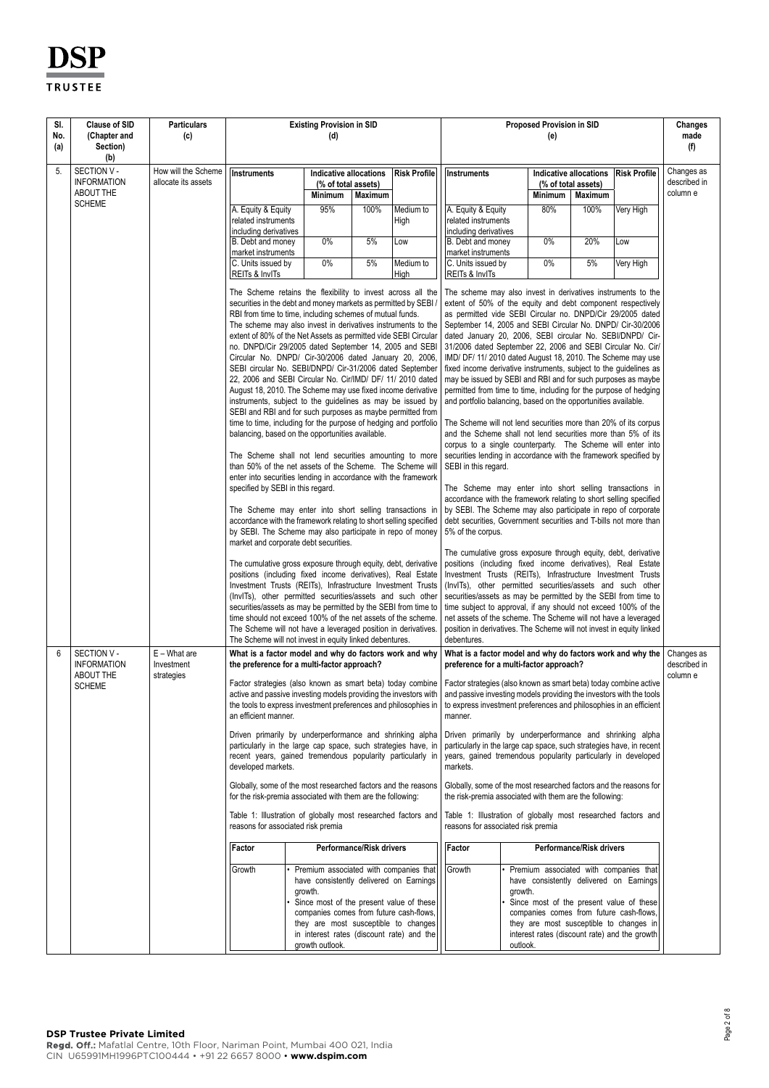| SI.<br>No.<br>(a) | <b>Clause of SID</b><br>(Chapter and<br>Section)<br>(b) | <b>Particulars</b><br>(c)                  | <b>Existing Provision in SID</b><br>(d)                                                                                                                                                                                                                                                                                                                                                                                                                                                                                                                                                                                                                                                                                                                                                                                                                                                                                                                                                                                                                                                                                                                                                                                                                                                                                                                             |                                                                                                                                                                                                                                                                                             |                          |                   | Proposed Provision in SID<br>(e)                                   |                                                                                                                                                                                                                                                                                                                                                                                                                                                                                                                                                                                                                                                                                                                                                                                                                                                                                                                                                                                                                                                                                                                                                                                                                                                                                                                                             |                                                          | Changes<br>made<br>(f) |                                        |
|-------------------|---------------------------------------------------------|--------------------------------------------|---------------------------------------------------------------------------------------------------------------------------------------------------------------------------------------------------------------------------------------------------------------------------------------------------------------------------------------------------------------------------------------------------------------------------------------------------------------------------------------------------------------------------------------------------------------------------------------------------------------------------------------------------------------------------------------------------------------------------------------------------------------------------------------------------------------------------------------------------------------------------------------------------------------------------------------------------------------------------------------------------------------------------------------------------------------------------------------------------------------------------------------------------------------------------------------------------------------------------------------------------------------------------------------------------------------------------------------------------------------------|---------------------------------------------------------------------------------------------------------------------------------------------------------------------------------------------------------------------------------------------------------------------------------------------|--------------------------|-------------------|--------------------------------------------------------------------|---------------------------------------------------------------------------------------------------------------------------------------------------------------------------------------------------------------------------------------------------------------------------------------------------------------------------------------------------------------------------------------------------------------------------------------------------------------------------------------------------------------------------------------------------------------------------------------------------------------------------------------------------------------------------------------------------------------------------------------------------------------------------------------------------------------------------------------------------------------------------------------------------------------------------------------------------------------------------------------------------------------------------------------------------------------------------------------------------------------------------------------------------------------------------------------------------------------------------------------------------------------------------------------------------------------------------------------------|----------------------------------------------------------|------------------------|----------------------------------------|
| 5.                | SECTION V -<br><b>INFORMATION</b><br>ABOUT THE          | How will the Scheme<br>allocate its assets | Instruments                                                                                                                                                                                                                                                                                                                                                                                                                                                                                                                                                                                                                                                                                                                                                                                                                                                                                                                                                                                                                                                                                                                                                                                                                                                                                                                                                         | Indicative allocations<br>(% of total assets)<br><b>Minimum</b>                                                                                                                                                                                                                             | Maximum                  | Risk Profile      | Instruments                                                        | Minimum                                                                                                                                                                                                                                                                                                                                                                                                                                                                                                                                                                                                                                                                                                                                                                                                                                                                                                                                                                                                                                                                                                                                                                                                                                                                                                                                     | Indicative allocations<br>(% of total assets)<br>Maximum | Risk Profile           | Changes as<br>described in<br>column e |
|                   | <b>SCHEME</b>                                           |                                            | A. Equity & Equity<br>related instruments<br>including derivatives                                                                                                                                                                                                                                                                                                                                                                                                                                                                                                                                                                                                                                                                                                                                                                                                                                                                                                                                                                                                                                                                                                                                                                                                                                                                                                  | 95%                                                                                                                                                                                                                                                                                         | 100%                     | Medium to<br>High | A. Equity & Equity<br>related instruments<br>including derivatives | 80%                                                                                                                                                                                                                                                                                                                                                                                                                                                                                                                                                                                                                                                                                                                                                                                                                                                                                                                                                                                                                                                                                                                                                                                                                                                                                                                                         | 100%                                                     | Very High              |                                        |
|                   |                                                         |                                            | B. Debt and money<br>market instruments                                                                                                                                                                                                                                                                                                                                                                                                                                                                                                                                                                                                                                                                                                                                                                                                                                                                                                                                                                                                                                                                                                                                                                                                                                                                                                                             | $0\%$                                                                                                                                                                                                                                                                                       | 5%                       | Low               | B. Debt and money<br>market instruments                            | 0%                                                                                                                                                                                                                                                                                                                                                                                                                                                                                                                                                                                                                                                                                                                                                                                                                                                                                                                                                                                                                                                                                                                                                                                                                                                                                                                                          | 20%                                                      | Low                    |                                        |
|                   |                                                         |                                            | C. Units issued by<br>REITs & InvITs                                                                                                                                                                                                                                                                                                                                                                                                                                                                                                                                                                                                                                                                                                                                                                                                                                                                                                                                                                                                                                                                                                                                                                                                                                                                                                                                | $0\%$                                                                                                                                                                                                                                                                                       | 5%                       | Medium to<br>High | C. Units issued by<br>REITs & InvITs                               | 0%                                                                                                                                                                                                                                                                                                                                                                                                                                                                                                                                                                                                                                                                                                                                                                                                                                                                                                                                                                                                                                                                                                                                                                                                                                                                                                                                          | 5%                                                       | Very High              |                                        |
|                   |                                                         |                                            | The Scheme retains the flexibility to invest across all the<br>securities in the debt and money markets as permitted by SEBI /<br>RBI from time to time, including schemes of mutual funds.<br>The scheme may also invest in derivatives instruments to the<br>extent of 80% of the Net Assets as permitted vide SEBI Circular<br>no. DNPD/Cir 29/2005 dated September 14, 2005 and SEBI<br>Circular No. DNPD/ Cir-30/2006 dated January 20, 2006,<br>SEBI circular No. SEBI/DNPD/ Cir-31/2006 dated September<br>22, 2006 and SEBI Circular No. Cir/IMD/ DF/ 11/ 2010 dated<br>August 18, 2010. The Scheme may use fixed income derivative<br>instruments, subject to the guidelines as may be issued by<br>SEBI and RBI and for such purposes as maybe permitted from<br>time to time, including for the purpose of hedging and portfolio<br>balancing, based on the opportunities available.<br>The Scheme shall not lend securities amounting to more<br>than 50% of the net assets of the Scheme. The Scheme will<br>enter into securities lending in accordance with the framework<br>specified by SEBI in this regard.<br>The Scheme may enter into short selling transactions in<br>accordance with the framework relating to short selling specified<br>by SEBI. The Scheme may also participate in repo of money<br>market and corporate debt securities. |                                                                                                                                                                                                                                                                                             |                          |                   | SEBI in this regard.<br>5% of the corpus.                          | The scheme may also invest in derivatives instruments to the<br>extent of 50% of the equity and debt component respectively<br>as permitted vide SEBI Circular no. DNPD/Cir 29/2005 dated<br>September 14, 2005 and SEBI Circular No. DNPD/ Cir-30/2006<br>dated January 20, 2006, SEBI circular No. SEBI/DNPD/ Cir-<br>31/2006 dated September 22, 2006 and SEBI Circular No. Cir/<br>IMD/ DF/ 11/ 2010 dated August 18, 2010. The Scheme may use<br>fixed income derivative instruments, subject to the guidelines as<br>may be issued by SEBI and RBI and for such purposes as maybe<br>permitted from time to time, including for the purpose of hedging<br>and portfolio balancing, based on the opportunities available.<br>The Scheme will not lend securities more than 20% of its corpus<br>and the Scheme shall not lend securities more than 5% of its<br>corpus to a single counterparty. The Scheme will enter into<br>securities lending in accordance with the framework specified by<br>The Scheme may enter into short selling transactions in<br>accordance with the framework relating to short selling specified<br>by SEBI. The Scheme may also participate in repo of corporate<br>debt securities, Government securities and T-bills not more than<br>The cumulative gross exposure through equity, debt, derivative |                                                          |                        |                                        |
|                   |                                                         |                                            | The cumulative gross exposure through equity, debt, derivative<br>positions (including fixed income derivatives), Real Estate<br>Investment Trusts (REITs), Infrastructure Investment Trusts<br>(InvITs), other permitted securities/assets and such other<br>securities/assets as may be permitted by the SEBI from time to<br>time should not exceed 100% of the net assets of the scheme.<br>The Scheme will not have a leveraged position in derivatives.<br>The Scheme will not invest in equity linked debentures.                                                                                                                                                                                                                                                                                                                                                                                                                                                                                                                                                                                                                                                                                                                                                                                                                                            |                                                                                                                                                                                                                                                                                             |                          |                   | debentures.                                                        | positions (including fixed income derivatives), Real Estate<br>Investment Trusts (REITs), Infrastructure Investment Trusts<br>(InvITs), other permitted securities/assets and such other<br>securities/assets as may be permitted by the SEBI from time to<br>time subject to approval, if any should not exceed 100% of the<br>net assets of the scheme. The Scheme will not have a leveraged<br>position in derivatives. The Scheme will not invest in equity linked                                                                                                                                                                                                                                                                                                                                                                                                                                                                                                                                                                                                                                                                                                                                                                                                                                                                      |                                                          |                        |                                        |
| 6                 | SECTION V -<br><b>INFORMATION</b><br><b>ABOUT THE</b>   | $E - What$<br>Investment                   | What is a factor model and why do factors work and why<br>the preference for a multi-factor approach?                                                                                                                                                                                                                                                                                                                                                                                                                                                                                                                                                                                                                                                                                                                                                                                                                                                                                                                                                                                                                                                                                                                                                                                                                                                               |                                                                                                                                                                                                                                                                                             |                          |                   |                                                                    | What is a factor model and why do factors work and why the<br>preference for a multi-factor approach?                                                                                                                                                                                                                                                                                                                                                                                                                                                                                                                                                                                                                                                                                                                                                                                                                                                                                                                                                                                                                                                                                                                                                                                                                                       |                                                          |                        | Changes as<br>described in<br>column e |
|                   | <b>SCHEME</b>                                           | strategies                                 | Factor strategies (also known as smart beta) today combine<br>active and passive investing models providing the investors with  <br>the tools to express investment preferences and philosophies in  <br>an efficient manner.<br>Driven primarily by underperformance and shrinking alpha                                                                                                                                                                                                                                                                                                                                                                                                                                                                                                                                                                                                                                                                                                                                                                                                                                                                                                                                                                                                                                                                           |                                                                                                                                                                                                                                                                                             |                          |                   | manner.                                                            | Factor strategies (also known as smart beta) today combine active<br>and passive investing models providing the investors with the tools<br>to express investment preferences and philosophies in an efficient<br>Driven primarily by underperformance and shrinking alpha                                                                                                                                                                                                                                                                                                                                                                                                                                                                                                                                                                                                                                                                                                                                                                                                                                                                                                                                                                                                                                                                  |                                                          |                        |                                        |
|                   |                                                         |                                            | particularly in the large cap space, such strategies have, in<br>recent years, gained tremendous popularity particularly in<br>developed markets.                                                                                                                                                                                                                                                                                                                                                                                                                                                                                                                                                                                                                                                                                                                                                                                                                                                                                                                                                                                                                                                                                                                                                                                                                   |                                                                                                                                                                                                                                                                                             |                          |                   | markets.                                                           | particularly in the large cap space, such strategies have, in recent<br>years, gained tremendous popularity particularly in developed                                                                                                                                                                                                                                                                                                                                                                                                                                                                                                                                                                                                                                                                                                                                                                                                                                                                                                                                                                                                                                                                                                                                                                                                       |                                                          |                        |                                        |
|                   |                                                         |                                            | Globally, some of the most researched factors and the reasons<br>for the risk-premia associated with them are the following:                                                                                                                                                                                                                                                                                                                                                                                                                                                                                                                                                                                                                                                                                                                                                                                                                                                                                                                                                                                                                                                                                                                                                                                                                                        |                                                                                                                                                                                                                                                                                             |                          |                   |                                                                    | Globally, some of the most researched factors and the reasons for<br>the risk-premia associated with them are the following:                                                                                                                                                                                                                                                                                                                                                                                                                                                                                                                                                                                                                                                                                                                                                                                                                                                                                                                                                                                                                                                                                                                                                                                                                |                                                          |                        |                                        |
|                   |                                                         |                                            | Table 1: Illustration of globally most researched factors and<br>reasons for associated risk premia                                                                                                                                                                                                                                                                                                                                                                                                                                                                                                                                                                                                                                                                                                                                                                                                                                                                                                                                                                                                                                                                                                                                                                                                                                                                 |                                                                                                                                                                                                                                                                                             |                          |                   |                                                                    | Table 1: Illustration of globally most researched factors and<br>reasons for associated risk premia                                                                                                                                                                                                                                                                                                                                                                                                                                                                                                                                                                                                                                                                                                                                                                                                                                                                                                                                                                                                                                                                                                                                                                                                                                         |                                                          |                        |                                        |
|                   |                                                         |                                            | Factor                                                                                                                                                                                                                                                                                                                                                                                                                                                                                                                                                                                                                                                                                                                                                                                                                                                                                                                                                                                                                                                                                                                                                                                                                                                                                                                                                              |                                                                                                                                                                                                                                                                                             | Performance/Risk drivers |                   | Factor                                                             |                                                                                                                                                                                                                                                                                                                                                                                                                                                                                                                                                                                                                                                                                                                                                                                                                                                                                                                                                                                                                                                                                                                                                                                                                                                                                                                                             | Performance/Risk drivers                                 |                        |                                        |
|                   |                                                         |                                            | Growth                                                                                                                                                                                                                                                                                                                                                                                                                                                                                                                                                                                                                                                                                                                                                                                                                                                                                                                                                                                                                                                                                                                                                                                                                                                                                                                                                              | Premium associated with companies that<br>have consistently delivered on Earnings<br>growth.<br>Since most of the present value of these<br>companies comes from future cash-flows,<br>they are most susceptible to changes<br>in interest rates (discount rate) and the<br>growth outlook. |                          |                   | Growth                                                             | Premium associated with companies that<br>have consistently delivered on Earnings<br>growth.<br>Since most of the present value of these<br>companies comes from future cash-flows,<br>they are most susceptible to changes in<br>interest rates (discount rate) and the growth<br>outlook.                                                                                                                                                                                                                                                                                                                                                                                                                                                                                                                                                                                                                                                                                                                                                                                                                                                                                                                                                                                                                                                 |                                                          |                        |                                        |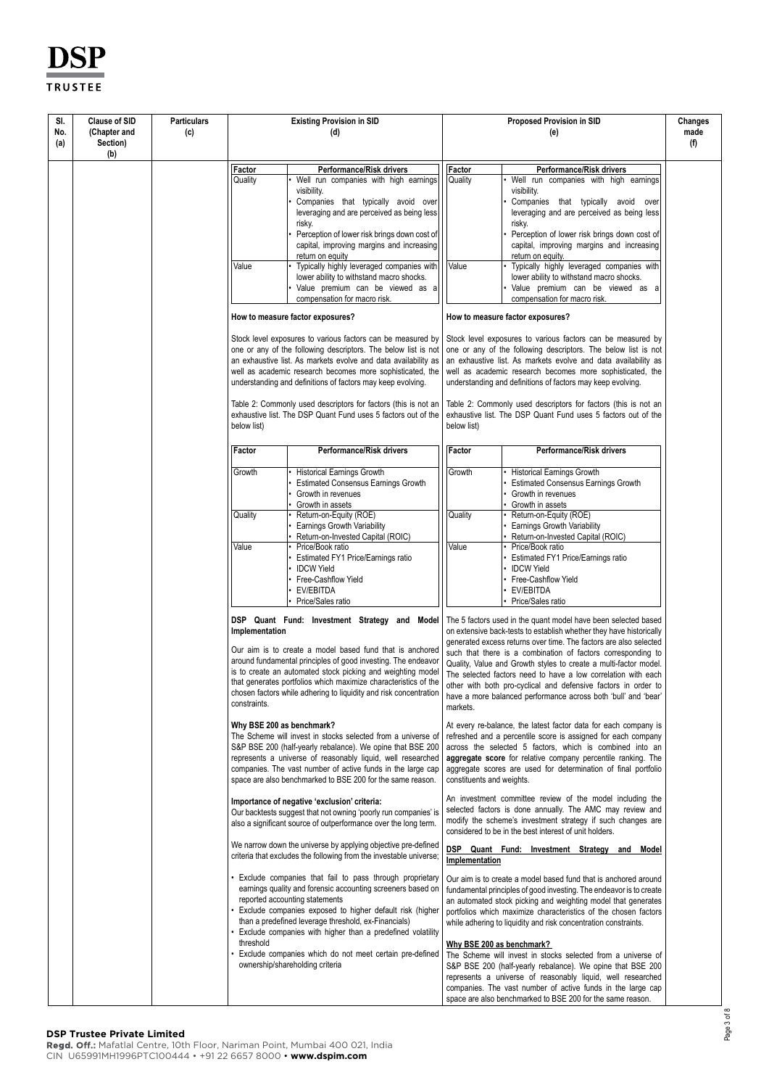| SI. | <b>Clause of SID</b> | <b>Particulars</b> |                           | <b>Existing Provision in SID</b>                                                                                                    |                           | <b>Proposed Provision in SID</b>                                                                                                      | Changes |
|-----|----------------------|--------------------|---------------------------|-------------------------------------------------------------------------------------------------------------------------------------|---------------------------|---------------------------------------------------------------------------------------------------------------------------------------|---------|
| No. | (Chapter and         | (c)                | (d)                       |                                                                                                                                     |                           | (e)                                                                                                                                   | made    |
| (a) | Section)<br>(b)      |                    |                           |                                                                                                                                     |                           |                                                                                                                                       | (f)     |
|     |                      |                    |                           |                                                                                                                                     |                           |                                                                                                                                       |         |
|     |                      |                    | Factor<br>Quality         | Performance/Risk drivers<br>Well run companies with high earnings                                                                   | Factor<br>Quality         | Performance/Risk drivers<br>Well run companies with high earnings                                                                     |         |
|     |                      |                    |                           | visibility.                                                                                                                         |                           | visibility.                                                                                                                           |         |
|     |                      |                    |                           | Companies that typically avoid over                                                                                                 |                           | Companies that typically avoid over                                                                                                   |         |
|     |                      |                    |                           | leveraging and are perceived as being less                                                                                          |                           | leveraging and are perceived as being less                                                                                            |         |
|     |                      |                    |                           | risky.                                                                                                                              |                           | risky.                                                                                                                                |         |
|     |                      |                    |                           | Perception of lower risk brings down cost of                                                                                        |                           | Perception of lower risk brings down cost of                                                                                          |         |
|     |                      |                    |                           | capital, improving margins and increasing                                                                                           |                           | capital, improving margins and increasing                                                                                             |         |
|     |                      |                    | Value                     | return on equity<br>Typically highly leveraged companies with                                                                       | Value                     | return on equity.<br>Typically highly leveraged companies with                                                                        |         |
|     |                      |                    |                           | lower ability to withstand macro shocks.                                                                                            |                           | lower ability to withstand macro shocks.                                                                                              |         |
|     |                      |                    |                           | Value premium can be viewed as a                                                                                                    |                           | Value premium can be viewed as a                                                                                                      |         |
|     |                      |                    |                           | compensation for macro risk.                                                                                                        |                           | compensation for macro risk.                                                                                                          |         |
|     |                      |                    |                           | How to measure factor exposures?                                                                                                    |                           | How to measure factor exposures?                                                                                                      |         |
|     |                      |                    |                           | Stock level exposures to various factors can be measured by                                                                         |                           | Stock level exposures to various factors can be measured by                                                                           |         |
|     |                      |                    |                           | one or any of the following descriptors. The below list is not                                                                      |                           | one or any of the following descriptors. The below list is not                                                                        |         |
|     |                      |                    |                           | an exhaustive list. As markets evolve and data availability as                                                                      |                           | an exhaustive list. As markets evolve and data availability as                                                                        |         |
|     |                      |                    |                           | well as academic research becomes more sophisticated, the                                                                           |                           | well as academic research becomes more sophisticated, the<br>understanding and definitions of factors may keep evolving.              |         |
|     |                      |                    |                           | understanding and definitions of factors may keep evolving.                                                                         |                           |                                                                                                                                       |         |
|     |                      |                    |                           | Table 2: Commonly used descriptors for factors (this is not an                                                                      |                           | Table 2: Commonly used descriptors for factors (this is not an                                                                        |         |
|     |                      |                    |                           | exhaustive list. The DSP Quant Fund uses 5 factors out of the                                                                       |                           | exhaustive list. The DSP Quant Fund uses 5 factors out of the                                                                         |         |
|     |                      |                    | below list)               |                                                                                                                                     | below list)               |                                                                                                                                       |         |
|     |                      |                    | Factor                    | <b>Performance/Risk drivers</b>                                                                                                     | Factor                    | Performance/Risk drivers                                                                                                              |         |
|     |                      |                    | Growth                    | <b>Historical Earnings Growth</b><br><b>Estimated Consensus Earnings Growth</b>                                                     | Growth                    | <b>Historical Earnings Growth</b><br><b>Estimated Consensus Earnings Growth</b>                                                       |         |
|     |                      |                    |                           | Growth in revenues                                                                                                                  |                           | Growth in revenues                                                                                                                    |         |
|     |                      |                    |                           | Growth in assets                                                                                                                    |                           | Growth in assets                                                                                                                      |         |
|     |                      |                    | Quality                   | Return-on-Equity (ROE)                                                                                                              | Quality                   | Return-on-Equity (ROE)                                                                                                                |         |
|     |                      |                    |                           | Earnings Growth Variability                                                                                                         |                           | <b>Earnings Growth Variability</b>                                                                                                    |         |
|     |                      |                    |                           | Return-on-Invested Capital (ROIC)                                                                                                   |                           | Return-on-Invested Capital (ROIC)                                                                                                     |         |
|     |                      |                    | Value                     | Price/Book ratio<br>Estimated FY1 Price/Earnings ratio                                                                              | Value                     | Price/Book ratio<br>Estimated FY1 Price/Earnings ratio                                                                                |         |
|     |                      |                    |                           | <b>IDCW Yield</b>                                                                                                                   |                           | <b>IDCW Yield</b>                                                                                                                     |         |
|     |                      |                    |                           | Free-Cashflow Yield                                                                                                                 |                           | Free-Cashflow Yield                                                                                                                   |         |
|     |                      |                    |                           | EV/EBITDA                                                                                                                           |                           | EV/EBITDA                                                                                                                             |         |
|     |                      |                    |                           | Price/Sales ratio                                                                                                                   |                           | Price/Sales ratio                                                                                                                     |         |
|     |                      |                    | Implementation            | DSP Quant Fund: Investment Strategy and Model                                                                                       |                           | The 5 factors used in the quant model have been selected based<br>on extensive back-tests to establish whether they have historically |         |
|     |                      |                    |                           | Our aim is to create a model based fund that is anchored                                                                            |                           | generated excess returns over time. The factors are also selected                                                                     |         |
|     |                      |                    |                           | around fundamental principles of good investing. The endeavor                                                                       |                           | such that there is a combination of factors corresponding to                                                                          |         |
|     |                      |                    |                           | is to create an automated stock picking and weighting model                                                                         |                           | Quality, Value and Growth styles to create a multi-factor model.<br>The selected factors need to have a low correlation with each     |         |
|     |                      |                    |                           | that generates portfolios which maximize characteristics of the                                                                     |                           | other with both pro-cyclical and defensive factors in order to                                                                        |         |
|     |                      |                    |                           | chosen factors while adhering to liquidity and risk concentration                                                                   |                           | have a more balanced performance across both 'bull' and 'bear'                                                                        |         |
|     |                      |                    | constraints.              |                                                                                                                                     | markets.                  |                                                                                                                                       |         |
|     |                      |                    | Why BSE 200 as benchmark? |                                                                                                                                     |                           | At every re-balance, the latest factor data for each company is                                                                       |         |
|     |                      |                    |                           | The Scheme will invest in stocks selected from a universe of                                                                        |                           | refreshed and a percentile score is assigned for each company                                                                         |         |
|     |                      |                    |                           | S&P BSE 200 (half-yearly rebalance). We opine that BSE 200                                                                          |                           | across the selected 5 factors, which is combined into an                                                                              |         |
|     |                      |                    |                           | represents a universe of reasonably liquid, well researched<br>companies. The vast number of active funds in the large cap          |                           | aggregate score for relative company percentile ranking. The<br>aggregate scores are used for determination of final portfolio        |         |
|     |                      |                    |                           | space are also benchmarked to BSE 200 for the same reason.                                                                          | constituents and weights. |                                                                                                                                       |         |
|     |                      |                    |                           | Importance of negative 'exclusion' criteria:                                                                                        |                           | An investment committee review of the model including the                                                                             |         |
|     |                      |                    |                           | Our backtests suggest that not owning 'poorly run companies' is                                                                     |                           | selected factors is done annually. The AMC may review and                                                                             |         |
|     |                      |                    |                           | also a significant source of outperformance over the long term.                                                                     |                           | modify the scheme's investment strategy if such changes are<br>considered to be in the best interest of unit holders.                 |         |
|     |                      |                    |                           | We narrow down the universe by applying objective pre-defined<br>criteria that excludes the following from the investable universe; | Implementation            | DSP Quant Fund: Investment Strategy and Model                                                                                         |         |
|     |                      |                    |                           | Exclude companies that fail to pass through proprietary                                                                             |                           | Our aim is to create a model based fund that is anchored around                                                                       |         |
|     |                      |                    |                           | earnings quality and forensic accounting screeners based on                                                                         |                           | fundamental principles of good investing. The endeavor is to create                                                                   |         |
|     |                      |                    |                           | reported accounting statements                                                                                                      |                           | an automated stock picking and weighting model that generates                                                                         |         |
|     |                      |                    |                           | Exclude companies exposed to higher default risk (higher<br>than a predefined leverage threshold, ex-Financials)                    |                           | portfolios which maximize characteristics of the chosen factors                                                                       |         |
|     |                      |                    |                           | Exclude companies with higher than a predefined volatility                                                                          |                           | while adhering to liquidity and risk concentration constraints.                                                                       |         |
|     |                      |                    | threshold                 |                                                                                                                                     |                           | Why BSE 200 as benchmark?                                                                                                             |         |
|     |                      |                    |                           | Exclude companies which do not meet certain pre-defined                                                                             |                           | The Scheme will invest in stocks selected from a universe of                                                                          |         |
|     |                      |                    |                           | ownership/shareholding criteria                                                                                                     |                           | S&P BSE 200 (half-yearly rebalance). We opine that BSE 200                                                                            |         |
|     |                      |                    |                           |                                                                                                                                     |                           | represents a universe of reasonably liquid, well researched                                                                           |         |
|     |                      |                    |                           |                                                                                                                                     |                           | companies. The vast number of active funds in the large cap                                                                           |         |
|     |                      |                    |                           |                                                                                                                                     |                           | space are also benchmarked to BSE 200 for the same reason.                                                                            |         |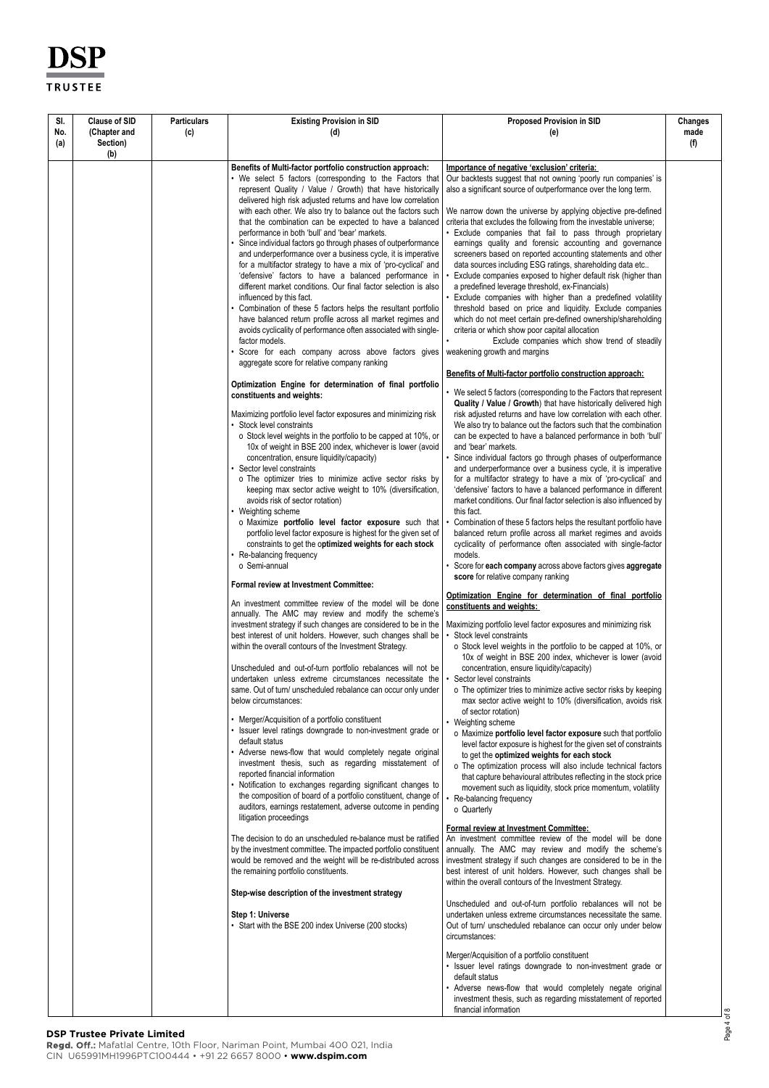| SI. | <b>Clause of SID</b> | <b>Particulars</b> | <b>Existing Provision in SID</b>                                                                                             | <b>Proposed Provision in SID</b>                                                                                                       | Changes |
|-----|----------------------|--------------------|------------------------------------------------------------------------------------------------------------------------------|----------------------------------------------------------------------------------------------------------------------------------------|---------|
| No. | (Chapter and         | (c)                | (d)                                                                                                                          | (e)                                                                                                                                    | made    |
| (a) | Section)<br>(b)      |                    |                                                                                                                              |                                                                                                                                        | (f)     |
|     |                      |                    | Benefits of Multi-factor portfolio construction approach:                                                                    | Importance of negative 'exclusion' criteria:                                                                                           |         |
|     |                      |                    | • We select 5 factors (corresponding to the Factors that                                                                     | Our backtests suggest that not owning 'poorly run companies' is                                                                        |         |
|     |                      |                    | represent Quality / Value / Growth) that have historically                                                                   | also a significant source of outperformance over the long term.                                                                        |         |
|     |                      |                    | delivered high risk adjusted returns and have low correlation                                                                |                                                                                                                                        |         |
|     |                      |                    | with each other. We also try to balance out the factors such                                                                 | We narrow down the universe by applying objective pre-defined                                                                          |         |
|     |                      |                    | that the combination can be expected to have a balanced                                                                      | criteria that excludes the following from the investable universe;                                                                     |         |
|     |                      |                    | performance in both 'bull' and 'bear' markets.                                                                               | • Exclude companies that fail to pass through proprietary                                                                              |         |
|     |                      |                    | Since individual factors go through phases of outperformance<br>and underperformance over a business cycle, it is imperative | earnings quality and forensic accounting and governance<br>screeners based on reported accounting statements and other                 |         |
|     |                      |                    | for a multifactor strategy to have a mix of 'pro-cyclical' and                                                               | data sources including ESG ratings, shareholding data etc                                                                              |         |
|     |                      |                    | 'defensive' factors to have a balanced performance in                                                                        | Exclude companies exposed to higher default risk (higher than                                                                          |         |
|     |                      |                    | different market conditions. Our final factor selection is also                                                              | a predefined leverage threshold, ex-Financials)                                                                                        |         |
|     |                      |                    | influenced by this fact.                                                                                                     | Exclude companies with higher than a predefined volatility                                                                             |         |
|     |                      |                    | Combination of these 5 factors helps the resultant portfolio<br>have balanced return profile across all market regimes and   | threshold based on price and liquidity. Exclude companies<br>which do not meet certain pre-defined ownership/shareholding              |         |
|     |                      |                    | avoids cyclicality of performance often associated with single-                                                              | criteria or which show poor capital allocation                                                                                         |         |
|     |                      |                    | factor models.                                                                                                               | Exclude companies which show trend of steadily                                                                                         |         |
|     |                      |                    | Score for each company across above factors gives                                                                            | weakening growth and margins                                                                                                           |         |
|     |                      |                    | aggregate score for relative company ranking                                                                                 |                                                                                                                                        |         |
|     |                      |                    | Optimization Engine for determination of final portfolio                                                                     | Benefits of Multi-factor portfolio construction approach:                                                                              |         |
|     |                      |                    | constituents and weights:                                                                                                    | • We select 5 factors (corresponding to the Factors that represent                                                                     |         |
|     |                      |                    |                                                                                                                              | Quality / Value / Growth) that have historically delivered high                                                                        |         |
|     |                      |                    | Maximizing portfolio level factor exposures and minimizing risk                                                              | risk adjusted returns and have low correlation with each other.                                                                        |         |
|     |                      |                    | • Stock level constraints<br>o Stock level weights in the portfolio to be capped at 10%, or                                  | We also try to balance out the factors such that the combination<br>can be expected to have a balanced performance in both 'bull'      |         |
|     |                      |                    | 10x of weight in BSE 200 index, whichever is lower (avoid                                                                    | and 'bear' markets.                                                                                                                    |         |
|     |                      |                    | concentration, ensure liquidity/capacity)                                                                                    | Since individual factors go through phases of outperformance                                                                           |         |
|     |                      |                    | Sector level constraints                                                                                                     | and underperformance over a business cycle, it is imperative                                                                           |         |
|     |                      |                    | o The optimizer tries to minimize active sector risks by                                                                     | for a multifactor strategy to have a mix of 'pro-cyclical' and                                                                         |         |
|     |                      |                    | keeping max sector active weight to 10% (diversification,<br>avoids risk of sector rotation)                                 | 'defensive' factors to have a balanced performance in different<br>market conditions. Our final factor selection is also influenced by |         |
|     |                      |                    | • Weighting scheme                                                                                                           | this fact.                                                                                                                             |         |
|     |                      |                    | o Maximize portfolio level factor exposure such that                                                                         | Combination of these 5 factors helps the resultant portfolio have                                                                      |         |
|     |                      |                    | portfolio level factor exposure is highest for the given set of                                                              | balanced return profile across all market regimes and avoids                                                                           |         |
|     |                      |                    | constraints to get the optimized weights for each stock                                                                      | cyclicality of performance often associated with single-factor                                                                         |         |
|     |                      |                    | Re-balancing frequency<br>o Semi-annual                                                                                      | models.<br>Score for each company across above factors gives aggregate                                                                 |         |
|     |                      |                    |                                                                                                                              | score for relative company ranking                                                                                                     |         |
|     |                      |                    | <b>Formal review at Investment Committee:</b>                                                                                |                                                                                                                                        |         |
|     |                      |                    | An investment committee review of the model will be done                                                                     | <u>Optimization Engine for determination of final portfolio</u><br>constituents and weights:                                           |         |
|     |                      |                    | annually. The AMC may review and modify the scheme's                                                                         |                                                                                                                                        |         |
|     |                      |                    | investment strategy if such changes are considered to be in the                                                              | Maximizing portfolio level factor exposures and minimizing risk                                                                        |         |
|     |                      |                    | best interest of unit holders. However, such changes shall be                                                                | Stock level constraints                                                                                                                |         |
|     |                      |                    | within the overall contours of the Investment Strategy.                                                                      | o Stock level weights in the portfolio to be capped at 10%, or<br>10x of weight in BSE 200 index, whichever is lower (avoid            |         |
|     |                      |                    | Unscheduled and out-of-turn portfolio rebalances will not be                                                                 | concentration, ensure liquidity/capacity)                                                                                              |         |
|     |                      |                    | undertaken unless extreme circumstances necessitate the                                                                      | Sector level constraints                                                                                                               |         |
|     |                      |                    | same. Out of turn/ unscheduled rebalance can occur only under                                                                | o The optimizer tries to minimize active sector risks by keeping                                                                       |         |
|     |                      |                    | below circumstances:                                                                                                         | max sector active weight to 10% (diversification, avoids risk                                                                          |         |
|     |                      |                    | • Merger/Acquisition of a portfolio constituent                                                                              | of sector rotation)<br>• Weighting scheme                                                                                              |         |
|     |                      |                    | • Issuer level ratings downgrade to non-investment grade or                                                                  | o Maximize portfolio level factor exposure such that portfolio                                                                         |         |
|     |                      |                    | default status                                                                                                               | level factor exposure is highest for the given set of constraints                                                                      |         |
|     |                      |                    | Adverse news-flow that would completely negate original                                                                      | to get the optimized weights for each stock                                                                                            |         |
|     |                      |                    | investment thesis, such as regarding misstatement of<br>reported financial information                                       | o The optimization process will also include technical factors                                                                         |         |
|     |                      |                    | • Notification to exchanges regarding significant changes to                                                                 | that capture behavioural attributes reflecting in the stock price<br>movement such as liquidity, stock price momentum, volatility      |         |
|     |                      |                    | the composition of board of a portfolio constituent, change of                                                               | Re-balancing frequency                                                                                                                 |         |
|     |                      |                    | auditors, earnings restatement, adverse outcome in pending                                                                   | o Quarterly                                                                                                                            |         |
|     |                      |                    | litigation proceedings                                                                                                       | Formal review at Investment Committee:                                                                                                 |         |
|     |                      |                    | The decision to do an unscheduled re-balance must be ratified                                                                | An investment committee review of the model will be done                                                                               |         |
|     |                      |                    | by the investment committee. The impacted portfolio constituent                                                              | annually. The AMC may review and modify the scheme's                                                                                   |         |
|     |                      |                    | would be removed and the weight will be re-distributed across                                                                | investment strategy if such changes are considered to be in the                                                                        |         |
|     |                      |                    | the remaining portfolio constituents.                                                                                        | best interest of unit holders. However, such changes shall be                                                                          |         |
|     |                      |                    |                                                                                                                              | within the overall contours of the Investment Strategy.                                                                                |         |
|     |                      |                    | Step-wise description of the investment strategy                                                                             | Unscheduled and out-of-turn portfolio rebalances will not be                                                                           |         |
|     |                      |                    | Step 1: Universe                                                                                                             | undertaken unless extreme circumstances necessitate the same.                                                                          |         |
|     |                      |                    | • Start with the BSE 200 index Universe (200 stocks)                                                                         | Out of turn/ unscheduled rebalance can occur only under below                                                                          |         |
|     |                      |                    |                                                                                                                              | circumstances:                                                                                                                         |         |
|     |                      |                    |                                                                                                                              | Merger/Acquisition of a portfolio constituent                                                                                          |         |
|     |                      |                    |                                                                                                                              | · Issuer level ratings downgrade to non-investment grade or                                                                            |         |
|     |                      |                    |                                                                                                                              | default status                                                                                                                         |         |
|     |                      |                    |                                                                                                                              | • Adverse news-flow that would completely negate original                                                                              |         |
|     |                      |                    |                                                                                                                              | investment thesis, such as regarding misstatement of reported                                                                          |         |
|     |                      |                    |                                                                                                                              | financial information                                                                                                                  |         |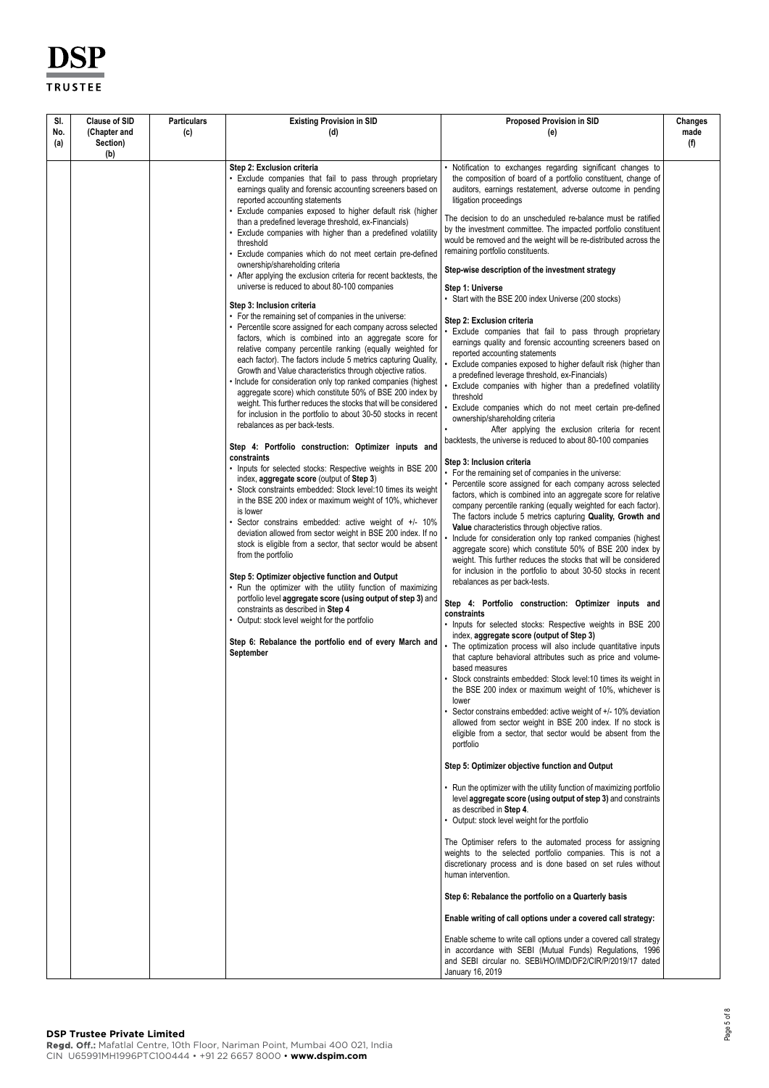| SI.        | <b>Clause of SID</b>     | <b>Particulars</b> | <b>Existing Provision in SID</b>                                                                                                                                                                                                                                                                                                                                                                                                                                                                                                                                                                                                                                                                                                                                                                                                                                     | <b>Proposed Provision in SID</b>                                                                                                                                                                                                                                                                                                                                                                                                                                                                                                                                                                                                                                                                                                                                                                                                                                                                                                                                                                                                                                                                                                                                                                                                                                                                                    | Changes     |
|------------|--------------------------|--------------------|----------------------------------------------------------------------------------------------------------------------------------------------------------------------------------------------------------------------------------------------------------------------------------------------------------------------------------------------------------------------------------------------------------------------------------------------------------------------------------------------------------------------------------------------------------------------------------------------------------------------------------------------------------------------------------------------------------------------------------------------------------------------------------------------------------------------------------------------------------------------|---------------------------------------------------------------------------------------------------------------------------------------------------------------------------------------------------------------------------------------------------------------------------------------------------------------------------------------------------------------------------------------------------------------------------------------------------------------------------------------------------------------------------------------------------------------------------------------------------------------------------------------------------------------------------------------------------------------------------------------------------------------------------------------------------------------------------------------------------------------------------------------------------------------------------------------------------------------------------------------------------------------------------------------------------------------------------------------------------------------------------------------------------------------------------------------------------------------------------------------------------------------------------------------------------------------------|-------------|
| No.<br>(a) | (Chapter and<br>Section) | (c)                | (d)                                                                                                                                                                                                                                                                                                                                                                                                                                                                                                                                                                                                                                                                                                                                                                                                                                                                  | (e)                                                                                                                                                                                                                                                                                                                                                                                                                                                                                                                                                                                                                                                                                                                                                                                                                                                                                                                                                                                                                                                                                                                                                                                                                                                                                                                 | made<br>(f) |
|            | (b)                      |                    |                                                                                                                                                                                                                                                                                                                                                                                                                                                                                                                                                                                                                                                                                                                                                                                                                                                                      |                                                                                                                                                                                                                                                                                                                                                                                                                                                                                                                                                                                                                                                                                                                                                                                                                                                                                                                                                                                                                                                                                                                                                                                                                                                                                                                     |             |
|            |                          |                    | Step 2: Exclusion criteria<br>. Exclude companies that fail to pass through proprietary<br>earnings quality and forensic accounting screeners based on<br>reported accounting statements<br>Exclude companies exposed to higher default risk (higher<br>than a predefined leverage threshold, ex-Financials)<br>Exclude companies with higher than a predefined volatility<br>threshold<br>Exclude companies which do not meet certain pre-defined<br>ownership/shareholding criteria<br>After applying the exclusion criteria for recent backtests, the<br>universe is reduced to about 80-100 companies<br>Step 3: Inclusion criteria                                                                                                                                                                                                                              | Notification to exchanges regarding significant changes to<br>the composition of board of a portfolio constituent, change of<br>auditors, earnings restatement, adverse outcome in pending<br>litigation proceedings<br>The decision to do an unscheduled re-balance must be ratified<br>by the investment committee. The impacted portfolio constituent<br>would be removed and the weight will be re-distributed across the<br>remaining portfolio constituents.<br>Step-wise description of the investment strategy<br>Step 1: Universe<br>• Start with the BSE 200 index Universe (200 stocks)                                                                                                                                                                                                                                                                                                                                                                                                                                                                                                                                                                                                                                                                                                                  |             |
|            |                          |                    | • For the remaining set of companies in the universe:<br>• Percentile score assigned for each company across selected<br>factors, which is combined into an aggregate score for<br>relative company percentile ranking (equally weighted for<br>each factor). The factors include 5 metrics capturing Quality,<br>Growth and Value characteristics through objective ratios.<br>. Include for consideration only top ranked companies (highest<br>aggregate score) which constitute 50% of BSE 200 index by<br>weight. This further reduces the stocks that will be considered<br>for inclusion in the portfolio to about 30-50 stocks in recent<br>rebalances as per back-tests.<br>Step 4: Portfolio construction: Optimizer inputs and<br>constraints<br>• Inputs for selected stocks: Respective weights in BSE 200<br>index, aggregate score (output of Step 3) | Step 2: Exclusion criteria<br>Exclude companies that fail to pass through proprietary<br>earnings quality and forensic accounting screeners based on<br>reported accounting statements<br>Exclude companies exposed to higher default risk (higher than<br>a predefined leverage threshold, ex-Financials)<br>Exclude companies with higher than a predefined volatility<br>threshold<br>Exclude companies which do not meet certain pre-defined<br>ownership/shareholding criteria<br>After applying the exclusion criteria for recent<br>backtests, the universe is reduced to about 80-100 companies<br>Step 3: Inclusion criteria<br>• For the remaining set of companies in the universe:                                                                                                                                                                                                                                                                                                                                                                                                                                                                                                                                                                                                                      |             |
|            |                          |                    | • Stock constraints embedded: Stock level:10 times its weight<br>in the BSE 200 index or maximum weight of 10%, whichever<br>is lower<br>Sector constrains embedded: active weight of +/- 10%<br>deviation allowed from sector weight in BSE 200 index. If no<br>stock is eligible from a sector, that sector would be absent<br>from the portfolio<br>Step 5: Optimizer objective function and Output<br>. Run the optimizer with the utility function of maximizing<br>portfolio level aggregate score (using output of step 3) and<br>constraints as described in Step 4<br>Output: stock level weight for the portfolio<br>Step 6: Rebalance the portfolio end of every March and<br>September                                                                                                                                                                   | • Percentile score assigned for each company across selected<br>factors, which is combined into an aggregate score for relative<br>company percentile ranking (equally weighted for each factor).<br>The factors include 5 metrics capturing Quality, Growth and<br>Value characteristics through objective ratios.<br>Include for consideration only top ranked companies (highest<br>aggregate score) which constitute 50% of BSE 200 index by<br>weight. This further reduces the stocks that will be considered<br>for inclusion in the portfolio to about 30-50 stocks in recent<br>rebalances as per back-tests.<br>Step 4: Portfolio construction: Optimizer inputs and<br>constraints<br>• Inputs for selected stocks: Respective weights in BSE 200<br>index, aggregate score (output of Step 3)<br>• The optimization process will also include quantitative inputs<br>that capture behavioral attributes such as price and volume-<br>based measures<br>Stock constraints embedded: Stock level:10 times its weight in<br>the BSE 200 index or maximum weight of 10%, whichever is<br>lower<br>Sector constrains embedded: active weight of +/-10% deviation<br>allowed from sector weight in BSE 200 index. If no stock is<br>eligible from a sector, that sector would be absent from the<br>portfolio |             |
|            |                          |                    |                                                                                                                                                                                                                                                                                                                                                                                                                                                                                                                                                                                                                                                                                                                                                                                                                                                                      | Step 5: Optimizer objective function and Output<br>• Run the optimizer with the utility function of maximizing portfolio<br>level aggregate score (using output of step 3) and constraints<br>as described in Step 4.<br>• Output: stock level weight for the portfolio<br>The Optimiser refers to the automated process for assigning<br>weights to the selected portfolio companies. This is not a<br>discretionary process and is done based on set rules without<br>human intervention.<br>Step 6: Rebalance the portfolio on a Quarterly basis<br>Enable writing of call options under a covered call strategy:<br>Enable scheme to write call options under a covered call strategy<br>in accordance with SEBI (Mutual Funds) Regulations, 1996<br>and SEBI circular no. SEBI/HO/IMD/DF2/CIR/P/2019/17 dated<br>January 16, 2019                                                                                                                                                                                                                                                                                                                                                                                                                                                                              |             |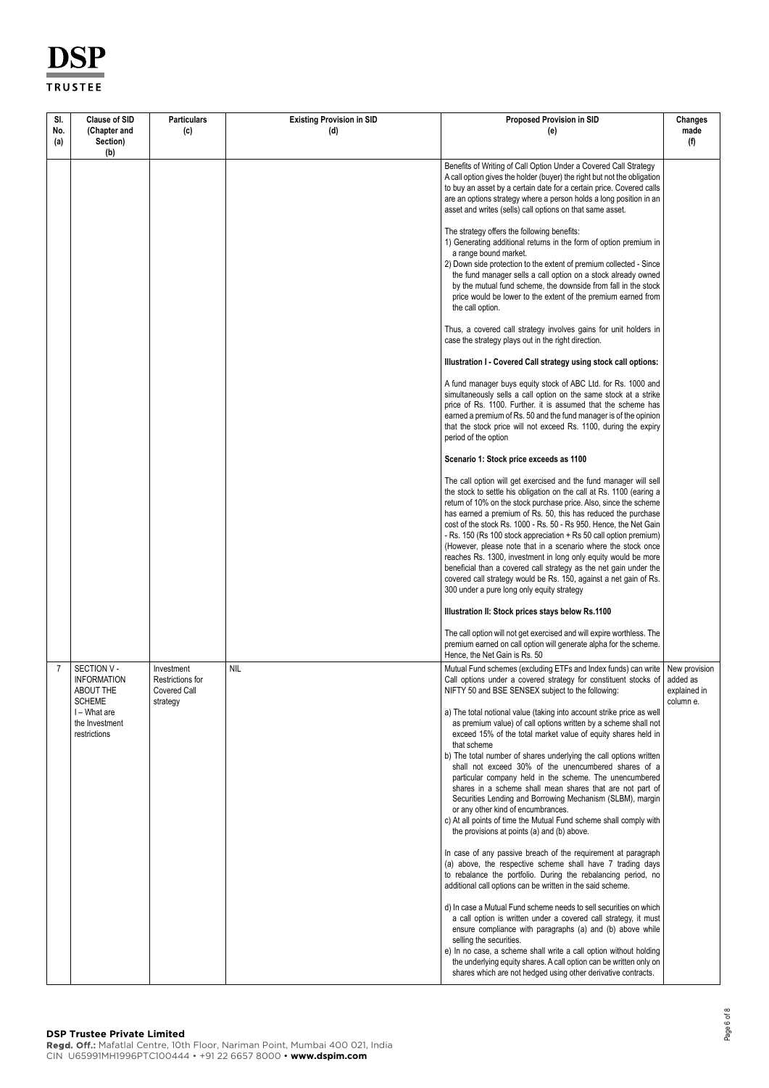| SI.        | <b>Clause of SID</b>                                                                                                     | <b>Particulars</b>                                         | <b>Existing Provision in SID</b> | <b>Proposed Provision in SID</b>                                                                                                                                                                                                                                                                                                                                                                                                                                                                                                                                                                                                                                                                                                                                                                                                                                                                                                                                                                                                                                                                                                                                                                                                                                                                                                                                                                                                                                                                                                                                                                         | Changes                                                |
|------------|--------------------------------------------------------------------------------------------------------------------------|------------------------------------------------------------|----------------------------------|----------------------------------------------------------------------------------------------------------------------------------------------------------------------------------------------------------------------------------------------------------------------------------------------------------------------------------------------------------------------------------------------------------------------------------------------------------------------------------------------------------------------------------------------------------------------------------------------------------------------------------------------------------------------------------------------------------------------------------------------------------------------------------------------------------------------------------------------------------------------------------------------------------------------------------------------------------------------------------------------------------------------------------------------------------------------------------------------------------------------------------------------------------------------------------------------------------------------------------------------------------------------------------------------------------------------------------------------------------------------------------------------------------------------------------------------------------------------------------------------------------------------------------------------------------------------------------------------------------|--------------------------------------------------------|
| No.<br>(a) | (Chapter and<br>Section)<br>(b)                                                                                          | (c)                                                        | (d)                              | (e)                                                                                                                                                                                                                                                                                                                                                                                                                                                                                                                                                                                                                                                                                                                                                                                                                                                                                                                                                                                                                                                                                                                                                                                                                                                                                                                                                                                                                                                                                                                                                                                                      | made<br>(f)                                            |
|            |                                                                                                                          |                                                            |                                  | Benefits of Writing of Call Option Under a Covered Call Strategy<br>A call option gives the holder (buyer) the right but not the obligation<br>to buy an asset by a certain date for a certain price. Covered calls<br>are an options strategy where a person holds a long position in an<br>asset and writes (sells) call options on that same asset.                                                                                                                                                                                                                                                                                                                                                                                                                                                                                                                                                                                                                                                                                                                                                                                                                                                                                                                                                                                                                                                                                                                                                                                                                                                   |                                                        |
|            |                                                                                                                          |                                                            |                                  | The strategy offers the following benefits:<br>1) Generating additional returns in the form of option premium in<br>a range bound market.<br>2) Down side protection to the extent of premium collected - Since<br>the fund manager sells a call option on a stock already owned<br>by the mutual fund scheme, the downside from fall in the stock<br>price would be lower to the extent of the premium earned from<br>the call option.                                                                                                                                                                                                                                                                                                                                                                                                                                                                                                                                                                                                                                                                                                                                                                                                                                                                                                                                                                                                                                                                                                                                                                  |                                                        |
|            |                                                                                                                          |                                                            |                                  | Thus, a covered call strategy involves gains for unit holders in<br>case the strategy plays out in the right direction.                                                                                                                                                                                                                                                                                                                                                                                                                                                                                                                                                                                                                                                                                                                                                                                                                                                                                                                                                                                                                                                                                                                                                                                                                                                                                                                                                                                                                                                                                  |                                                        |
|            |                                                                                                                          |                                                            |                                  | Illustration I - Covered Call strategy using stock call options:                                                                                                                                                                                                                                                                                                                                                                                                                                                                                                                                                                                                                                                                                                                                                                                                                                                                                                                                                                                                                                                                                                                                                                                                                                                                                                                                                                                                                                                                                                                                         |                                                        |
|            |                                                                                                                          |                                                            |                                  | A fund manager buys equity stock of ABC Ltd. for Rs. 1000 and<br>simultaneously sells a call option on the same stock at a strike<br>price of Rs. 1100. Further. it is assumed that the scheme has<br>earned a premium of Rs. 50 and the fund manager is of the opinion<br>that the stock price will not exceed Rs. 1100, during the expiry<br>period of the option                                                                                                                                                                                                                                                                                                                                                                                                                                                                                                                                                                                                                                                                                                                                                                                                                                                                                                                                                                                                                                                                                                                                                                                                                                      |                                                        |
|            |                                                                                                                          |                                                            |                                  | Scenario 1: Stock price exceeds as 1100                                                                                                                                                                                                                                                                                                                                                                                                                                                                                                                                                                                                                                                                                                                                                                                                                                                                                                                                                                                                                                                                                                                                                                                                                                                                                                                                                                                                                                                                                                                                                                  |                                                        |
|            |                                                                                                                          |                                                            |                                  | The call option will get exercised and the fund manager will sell<br>the stock to settle his obligation on the call at Rs. 1100 (earing a<br>return of 10% on the stock purchase price. Also, since the scheme<br>has earned a premium of Rs. 50, this has reduced the purchase<br>cost of the stock Rs. 1000 - Rs. 50 - Rs 950. Hence, the Net Gain<br>- Rs. 150 (Rs 100 stock appreciation + Rs 50 call option premium)<br>(However, please note that in a scenario where the stock once<br>reaches Rs. 1300, investment in long only equity would be more<br>beneficial than a covered call strategy as the net gain under the<br>covered call strategy would be Rs. 150, against a net gain of Rs.<br>300 under a pure long only equity strategy                                                                                                                                                                                                                                                                                                                                                                                                                                                                                                                                                                                                                                                                                                                                                                                                                                                     |                                                        |
|            |                                                                                                                          |                                                            |                                  | Illustration II: Stock prices stays below Rs.1100                                                                                                                                                                                                                                                                                                                                                                                                                                                                                                                                                                                                                                                                                                                                                                                                                                                                                                                                                                                                                                                                                                                                                                                                                                                                                                                                                                                                                                                                                                                                                        |                                                        |
|            |                                                                                                                          |                                                            |                                  | The call option will not get exercised and will expire worthless. The<br>premium earned on call option will generate alpha for the scheme.<br>Hence, the Net Gain is Rs. 50                                                                                                                                                                                                                                                                                                                                                                                                                                                                                                                                                                                                                                                                                                                                                                                                                                                                                                                                                                                                                                                                                                                                                                                                                                                                                                                                                                                                                              |                                                        |
| 7          | SECTION V -<br><b>INFORMATION</b><br><b>ABOUT THE</b><br><b>SCHEME</b><br>I - What are<br>the Investment<br>restrictions | Investment<br>Restrictions for<br>Covered Call<br>strategy | <b>NIL</b>                       | Mutual Fund schemes (excluding ETFs and Index funds) can write<br>Call options under a covered strategy for constituent stocks of<br>NIFTY 50 and BSE SENSEX subject to the following:<br>a) The total notional value (taking into account strike price as well<br>as premium value) of call options written by a scheme shall not<br>exceed 15% of the total market value of equity shares held in<br>that scheme<br>b) The total number of shares underlying the call options written<br>shall not exceed 30% of the unencumbered shares of a<br>particular company held in the scheme. The unencumbered<br>shares in a scheme shall mean shares that are not part of<br>Securities Lending and Borrowing Mechanism (SLBM), margin<br>or any other kind of encumbrances.<br>c) At all points of time the Mutual Fund scheme shall comply with<br>the provisions at points (a) and (b) above.<br>In case of any passive breach of the requirement at paragraph<br>(a) above, the respective scheme shall have 7 trading days<br>to rebalance the portfolio. During the rebalancing period, no<br>additional call options can be written in the said scheme.<br>d) In case a Mutual Fund scheme needs to sell securities on which<br>a call option is written under a covered call strategy, it must<br>ensure compliance with paragraphs (a) and (b) above while<br>selling the securities.<br>e) In no case, a scheme shall write a call option without holding<br>the underlying equity shares. A call option can be written only on<br>shares which are not hedged using other derivative contracts. | New provision<br>added as<br>explained in<br>column e. |

**DSP Trustee Private Limited**<br>**Regd. Off.:** Mafatlal Centre, 10th Floor, Nariman Point, Mumbai 400 021, India CIN U65991MH1996PTC100444 • +91 22 6657 8000 • **www.dspim.com**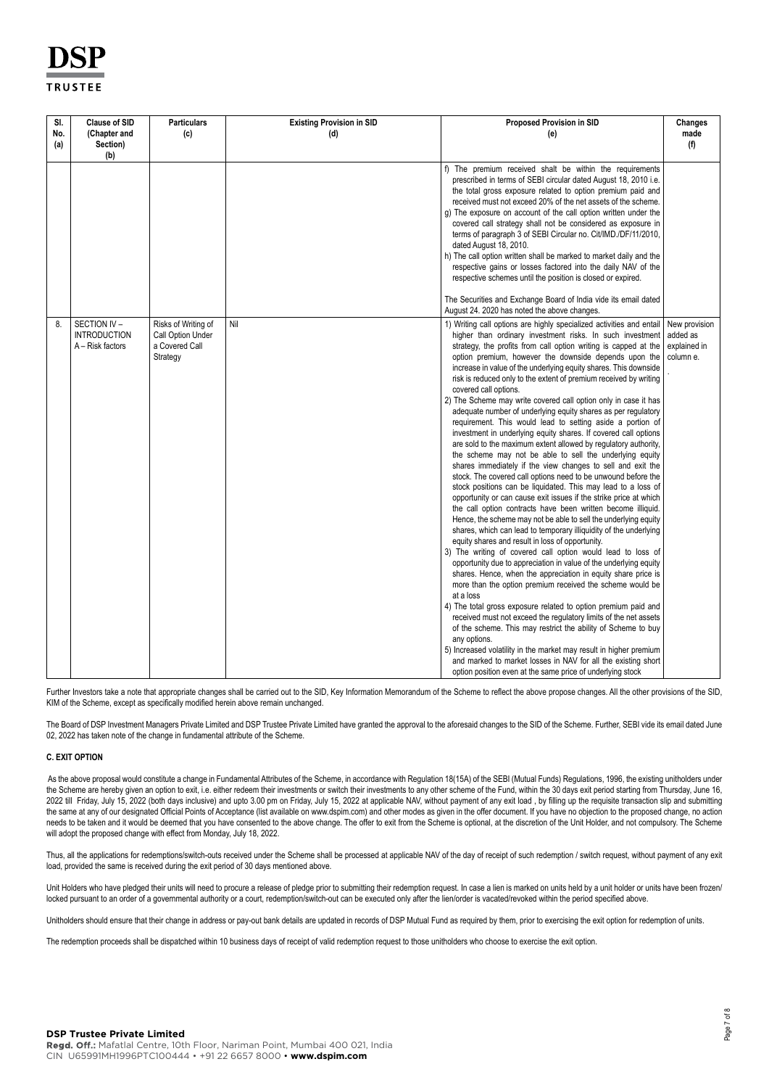| SI.<br>No.<br>(a) | <b>Clause of SID</b><br>(Chapter and<br>Section)       | <b>Particulars</b><br>(c)                                              | <b>Existing Provision in SID</b><br>(d) | <b>Proposed Provision in SID</b><br>(e)                                                                                                                                                                                                                                                                                                                                                                                                                                                                                                                                                                                                                                                                                                                                                                                                                                                                                                                                                                                                                                                                                                                                                                                                                                                                                                                                                                                                                                                                                                                                                                                                                                                                                                                                                                                                                                                                                                                                                                                                                                                                                          | Changes<br>made<br>(f)                                 |
|-------------------|--------------------------------------------------------|------------------------------------------------------------------------|-----------------------------------------|----------------------------------------------------------------------------------------------------------------------------------------------------------------------------------------------------------------------------------------------------------------------------------------------------------------------------------------------------------------------------------------------------------------------------------------------------------------------------------------------------------------------------------------------------------------------------------------------------------------------------------------------------------------------------------------------------------------------------------------------------------------------------------------------------------------------------------------------------------------------------------------------------------------------------------------------------------------------------------------------------------------------------------------------------------------------------------------------------------------------------------------------------------------------------------------------------------------------------------------------------------------------------------------------------------------------------------------------------------------------------------------------------------------------------------------------------------------------------------------------------------------------------------------------------------------------------------------------------------------------------------------------------------------------------------------------------------------------------------------------------------------------------------------------------------------------------------------------------------------------------------------------------------------------------------------------------------------------------------------------------------------------------------------------------------------------------------------------------------------------------------|--------------------------------------------------------|
|                   | (b)                                                    |                                                                        |                                         | f) The premium received shalt be within the requirements<br>prescribed in terms of SEBI circular dated August 18, 2010 i.e.<br>the total gross exposure related to option premium paid and<br>received must not exceed 20% of the net assets of the scheme.<br>g) The exposure on account of the call option written under the<br>covered call strategy shall not be considered as exposure in<br>terms of paragraph 3 of SEBI Circular no. Cit/IMD./DF/11/2010,<br>dated August 18, 2010.<br>h) The call option written shall be marked to market daily and the<br>respective gains or losses factored into the daily NAV of the<br>respective schemes until the position is closed or expired.<br>The Securities and Exchange Board of India vide its email dated                                                                                                                                                                                                                                                                                                                                                                                                                                                                                                                                                                                                                                                                                                                                                                                                                                                                                                                                                                                                                                                                                                                                                                                                                                                                                                                                                              |                                                        |
| 8.                | SECTION IV-<br><b>INTRODUCTION</b><br>A - Risk factors | Risks of Writing of<br>Call Option Under<br>a Covered Call<br>Strategy | Nil                                     | August 24. 2020 has noted the above changes.<br>1) Writing call options are highly specialized activities and entail<br>higher than ordinary investment risks. In such investment<br>strategy, the profits from call option writing is capped at the<br>option premium, however the downside depends upon the<br>increase in value of the underlying equity shares. This downside<br>risk is reduced only to the extent of premium received by writing<br>covered call options.<br>2) The Scheme may write covered call option only in case it has<br>adequate number of underlying equity shares as per regulatory<br>requirement. This would lead to setting aside a portion of<br>investment in underlying equity shares. If covered call options<br>are sold to the maximum extent allowed by regulatory authority,<br>the scheme may not be able to sell the underlying equity<br>shares immediately if the view changes to sell and exit the<br>stock. The covered call options need to be unwound before the<br>stock positions can be liquidated. This may lead to a loss of<br>opportunity or can cause exit issues if the strike price at which<br>the call option contracts have been written become illiquid.<br>Hence, the scheme may not be able to sell the underlying equity<br>shares, which can lead to temporary illiquidity of the underlying<br>equity shares and result in loss of opportunity.<br>3) The writing of covered call option would lead to loss of<br>opportunity due to appreciation in value of the underlying equity<br>shares. Hence, when the appreciation in equity share price is<br>more than the option premium received the scheme would be<br>at a loss<br>4) The total gross exposure related to option premium paid and<br>received must not exceed the regulatory limits of the net assets<br>of the scheme. This may restrict the ability of Scheme to buy<br>any options.<br>5) Increased volatility in the market may result in higher premium<br>and marked to market losses in NAV for all the existing short<br>option position even at the same price of underlying stock | New provision<br>added as<br>explained in<br>column e. |

Further Investors take a note that appropriate changes shall be carried out to the SID, Key Information Memorandum of the Scheme to reflect the above propose changes. All the other provisions of the SID, KIM of the Scheme, except as specifically modified herein above remain unchanged.

The Board of DSP Investment Managers Private Limited and DSP Trustee Private Limited have granted the approval to the aforesaid changes to the SID of the Scheme. Further, SEBI vide its email dated June 02, 2022 has taken note of the change in fundamental attribute of the Scheme.

## **C. EXIT OPTION**

As the above proposal would constitute a change in Fundamental Attributes of the Scheme, in accordance with Regulation 18(15A) of the SEBI (Mutual Funds) Regulations, 1996, the existing unitholders under the Scheme are hereby given an option to exit, i.e. either redeem their investments or switch their investments to any other scheme of the Fund, within the 30 days exit period starting from Thursday, June 16, 2022 till Friday, July 15, 2022 (both days inclusive) and upto 3.00 pm on Friday, July 15, 2022 at applicable NAV, without payment of any exit load , by filling up the requisite transaction slip and submitting the same at any of our designated Official Points of Acceptance (list available on www.dspim.com) and other modes as given in the offer document. If you have no objection to the proposed change, no action needs to be taken and it would be deemed that you have consented to the above change. The offer to exit from the Scheme is optional, at the discretion of the Unit Holder, and not compulsory. The Scheme will adopt the proposed change with effect from Monday, July 18, 2022.

Thus, all the applications for redemptions/switch-outs received under the Scheme shall be processed at applicable NAV of the day of receipt of such redemption / switch request, without payment of any exit load, provided the same is received during the exit period of 30 days mentioned above.

Unit Holders who have pledged their units will need to procure a release of pledge prior to submitting their redemption request. In case a lien is marked on units held by a unit holder or units have been frozen/ locked pursuant to an order of a governmental authority or a court, redemption/switch-out can be executed only after the lien/order is vacated/revoked within the period specified above.

Unitholders should ensure that their change in address or pay-out bank details are updated in records of DSP Mutual Fund as required by them, prior to exercising the exit option for redemption of units.

The redemption proceeds shall be dispatched within 10 business days of receipt of valid redemption request to those unitholders who choose to exercise the exit option.